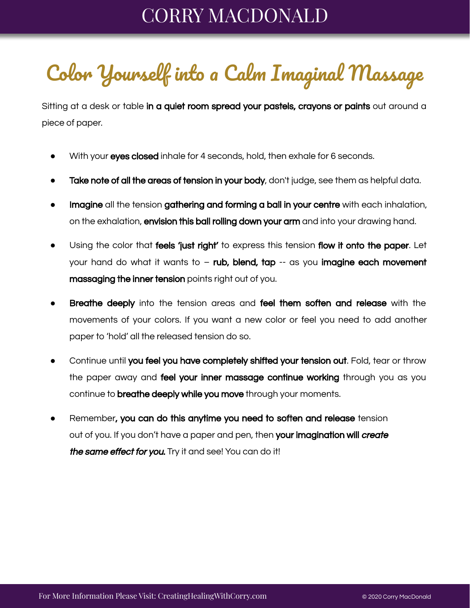## CORRY MACDONALD

## Color Yourself into a Calm Imaginal Massage

Sitting at a desk or table in a quiet room spread your pastels, crayons or paints out around a piece of paper.

- With your eyes closed inhale for 4 seconds, hold, then exhale for 6 seconds.
- Take note of all the areas of tension in your body, don't judge, see them as helpful data.
- Imagine all the tension gathering and forming a ball in your centre with each inhalation, on the exhalation, **envision this ball rolling down your arm** and into your drawing hand.
- Using the color that feels 'just right' to express this tension flow it onto the paper. Let your hand do what it wants to  $-$  rub, blend, tap  $-$  as you imagine each movement massaging the inner tension points right out of you.
- Breathe deeply into the tension areas and feel them soften and release with the movements of your colors. If you want a new color or feel you need to add another paper to 'hold' all the released tension do so.
- Continue until you feel you have completely shifted your tension out. Fold, tear or throw the paper away and **feel your inner massage continue working** through you as you continue to **breathe deeply while you move** through your moments.
- Remember, you can do this anytime you need to soften and release tension out of you. If you don't have a paper and pen, then your imagination will create the same effect for you. Try it and see! You can do it!